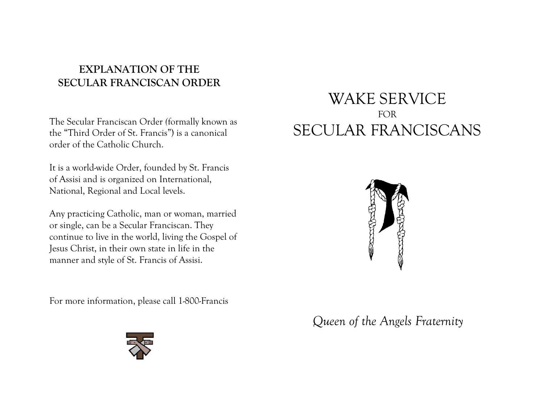# **EXPLANATION OF THE SECULAR FRANCISCAN ORDER**

The Secular Franciscan Order *(*formally known as the "Third Order of St. Francis") is a canonical order of the Catholic Church.

It is a world-wide Order, founded by St. Francis of Assisi and is organized on International, National, Regional and Local levels.

Any practicing Catholic, man or woman, married or single, can be a Secular Franciscan. They continue to live in the world, living the Gospel of Jesus Christ, in their own state in life in the manner and style of St. Francis of Assisi.

For more information, please call 1-800-Francis

# WAKE SERVICE FOR SECULAR FRANCISCANS



*Queen of the Angels Fraternity*

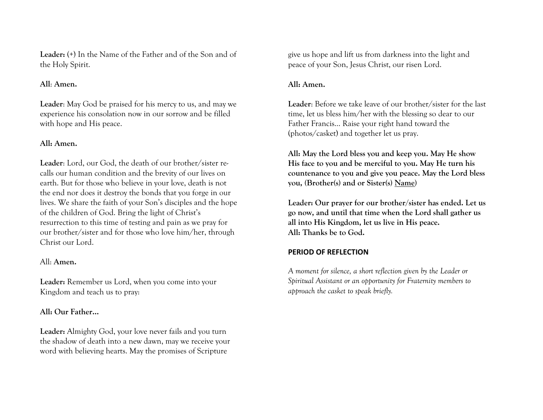**Leader:** (+) In the Name of the Father and of the Son and of the Holy Spirit.

#### **All**: **Amen.**

**Leader**: May God be praised for his mercy to us, and may we experience his consolation now in our sorrow and be filled with hope and His peace.

#### **All: Amen.**

**Leader**: Lord, our God, the death of our brother/sister recalls our human condition and the brevity of our lives on earth. But for those who believe in your love, death is not the end nor does it destroy the bonds that you forge in our lives. We share the faith of your Son's disciples and the hope of the children of God. Bring the light of Christ's resurrection to this time of testing and pain as we pray for our brother/sister and for those who love him/her, through Christ our Lord.

#### All: **Amen.**

**Leader:** Remember us Lord, when you come into your Kingdom and teach us to pray:

#### **All: Our Father…**

**Leader:** Almighty God, your love never fails and you turn the shadow of death into a new dawn, may we receive your word with believing hearts. May the promises of Scripture

give us hope and lift us from darkness into the light and peace of your Son, Jesus Christ, our risen Lord.

#### **All: Amen.**

**Leader**: Before we take leave of our brother/sister for the last time, let us bless him/her with the blessing so dear to our Father Francis... Raise your right hand toward the (photos/casket) and together let us pray.

**All: May the Lord bless you and keep you. May He show His face to you and be merciful to you. May He turn his countenance to you and give you peace. May the Lord bless you, (Brother(s) and or Sister(s) Name)**

**Leader: Our prayer for our brother/sister has ended. Let us go now, and until that time when the Lord shall gather us all into His Kingdom, let us live in His peace. All: Thanks be to God.** 

#### **PERIOD OF REFLECTION**

*A moment for silence, a short reflection given by the Leader or Spiritual Assistant or an opportunity for Fraternity members to approach the casket to speak briefly.*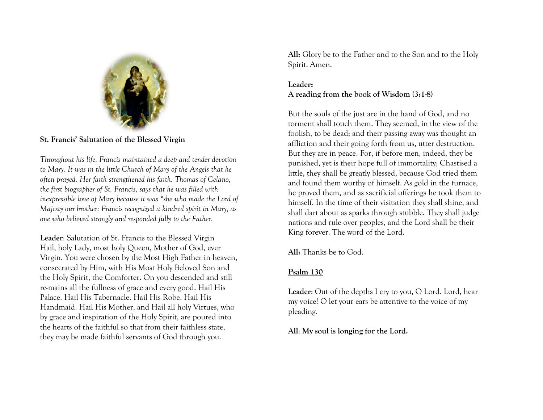

#### **St. Francis' Salutation of the Blessed Virgin**

*Throughout his life, Francis maintained a deep and tender devotion to Mary. It was in the little Church of Mary of the Angels that he often prayed. Her faith strengthened his faith. Thomas of Celano, the first biographer of St. Francis, says that he was filled with inexpressible love of Mary because it was "she who made the Lord of Majesty our brother: Francis recognized a kindred spirit in Mary, as one who believed strongly and responded fully to the Father.* 

**Leader**: Salutation of St. Francis to the Blessed Virgin Hail, holy Lady, most holy Queen, Mother of God, ever Virgin. You were chosen by the Most High Father in heaven, consecrated by Him, with His Most Holy Beloved Son and the Holy Spirit, the Comforter. On you descended and still re-mains all the fullness of grace and every good. Hail His Palace. Hail His Tabernacle. Hail His Robe. Hail His Handmaid. Hail His Mother, and Hail all holy Virtues, who by grace and inspiration of the Holy Spirit, are poured into the hearts of the faithful so that from their faithless state, they may be made faithful servants of God through you.

**All:** Glory be to the Father and to the Son and to the Holy Spirit. Amen.

### **Leader: A reading from the book of Wisdom (3:1-8)**

But the souls of the just are in the hand of God, and no torment shall touch them. They seemed, in the view of the foolish, to be dead; and their passing away was thought an affliction and their going forth from us, utter destruction. But they are in peace. For, if before men, indeed, they be punished, yet is their hope full of immortality; Chastised a little, they shall be greatly blessed, because God tried them and found them worthy of himself. As gold in the furnace, he proved them, and as sacrificial offerings he took them to himself. In the time of their visitation they shall shine, and shall dart about as sparks through stubble. They shall judge nations and rule over peoples, and the Lord shall be their King forever. The word of the Lord.

**All:** Thanks be to God.

## **Psalm 130**

**Leader**: Out of the depths I cry to you, O Lord. Lord, hear my voice! O let your ears be attentive to the voice of my pleading.

**All**: **My soul is longing for the Lord.**